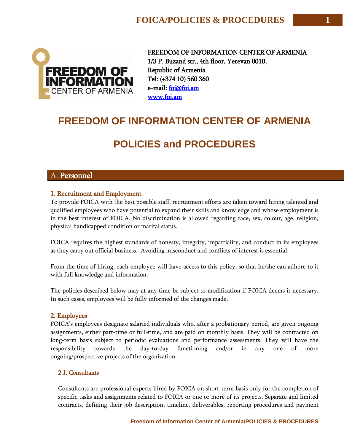

FREEDOM OF INFORMATION CENTER OF ARMENIA 1/3 P. Buzand str., 4th floor, Yerevan 0010, Republic of Armenia Tel: (+374 10) 560 360 e-mail: [foi@foi.am](mailto:foi@foi.am)  [www.foi.am](http://www.foi.am/) 

# **FREEDOM OF INFORMATION CENTER OF ARMENIA**

# **POLICIES and PROCEDURES**

## A. Personnel

## 1. Recruitment and Employment

To provide FOICA with the best possible staff, recruitment efforts are taken toward hiring talented and qualified employees who have potential to expand their skills and knowledge and whose employment is in the best interest of FOICA. No discrimination is allowed regarding race, sex, colour, age, religion, physical handicapped condition or marital status.

FOICA requires the highest standards of honesty, integrity, impartiality, and conduct in its employees as they carry out official business. Avoiding misconduct and conflicts of interest is essential.

From the time of hiring, each employee will have access to this policy, so that he/she can adhere to it with full knowledge and information.

The policies described below may at any time be subject to modification if FOICA deems it necessary. In such cases, employees will be fully informed of the changes made.

## 2. Employees

FOICA's employees designate salaried individuals who, after a probationary period, are given ongoing assignments, either part-time or full-time, and are paid on monthly basis. They will be contracted on long-term basis subject to periodic evaluations and performance assessments. They will have the responsibility towards the day-to-day functioning and/or in any one of more ongoing/prospective [projects](http://www.fundsforngos.org/tag/projects) of the organization.

## 2.1. Consultants

Consultants are professional experts hired by FOICA on short-term basis only for the completion of specific tasks and assignments related to FOICA or one or more of its projects. Separate and limited contracts, defining their job description, timeline, deliverables, reporting procedures and payment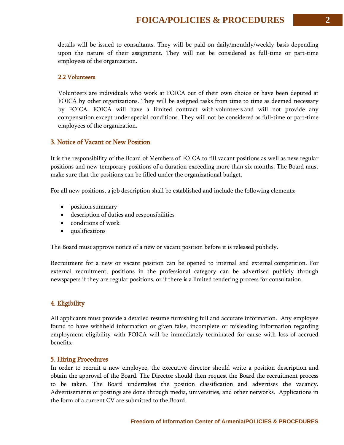details will be issued to consultants. They will be paid on daily/monthly/weekly basis depending upon the nature of their assignment. They will not be considered as full-time or part-time employees of the organization.

#### 2.2 Volunteers

Volunteers are individuals who work at FOICA out of their own choice or have been deputed at FOICA by other [organizations.](http://www.fundsforngos.org/tag/organizations) They will be assigned tasks from time to time as deemed necessary by FOICA. FOICA will have a limited contract with [volunteers](http://www.fundsforngos.org/free-resources-for-ngos/a-free-guide-on-how-ngos-can-make-the-best-use-of-volunteers/) and will not provide any compensation except under special conditions. They will not be considered as full-time or part-time employees of the organization.

#### 3. Notice of Vacant or New Position

It is the responsibility of the Board of Members of FOICA to fill vacant positions as well as new regular positions and new temporary positions of a duration exceeding more than six months. The Board must make sure that the positions can be filled under the organizational budget.

For all new positions, a job description shall be established and include the following elements:

- position summary
- description of duties and responsibilities
- conditions of work
- qualifications

The Board must approve notice of a new or vacant position before it is released publicly.

Recruitment for a new or vacant position can be opened to internal and external [competition.](http://www.fundsforngos.org/tag/competition) For external recruitment, positions in the professional category can be advertised publicly through newspapers if they are regular positions, or if there is a limited tendering process for consultation.

## 4. Eligibility

All applicants must provide a detailed resume furnishing full and accurate information. Any employee found to have withheld information or given false, incomplete or misleading information regarding employment eligibility with FOICA will be immediately terminated for cause with loss of accrued benefits.

#### 5. Hiring Procedures

In order to recruit a new employee, the executive director should write a position description and obtain the approval of the Board. The Director should then request the Board the recruitment process to be taken. The Board undertakes the position classification and advertises the vacancy. Advertisements or postings are done through media, universities, and other networks. Applications in the form of a current CV are submitted to the Board.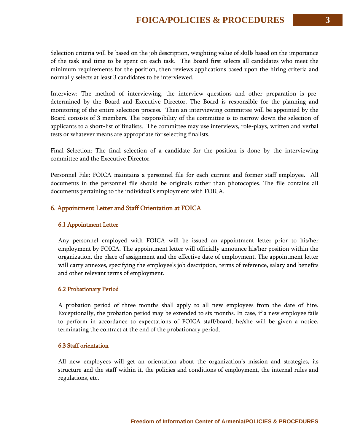Selection criteria will be based on the job description, weighting value of skills based on the importance of the task and time to be spent on each task. The Board first selects all candidates who meet the minimum requirements for the position, then reviews applications based upon the hiring criteria and normally selects at least 3 candidates to be interviewed.

Interview: The method of interviewing, the interview questions and other preparation is predetermined by the Board and Executive Director. The Board is responsible for the planning and monitoring of the entire selection process. Then an interviewing committee will be appointed by the Board consists of 3 members. The responsibility of the committee is to narrow down the selection of applicants to a short-list of finalists. The committee may use interviews, role-plays, written and verbal tests or whatever means are appropriate for selecting finalists.

Final Selection: The final selection of a candidate for the position is done by the interviewing committee and the Executive Director.

Personnel File: FOICA maintains a personnel file for each current and former staff employee. All documents in the personnel file should be originals rather than photocopies. The file contains all documents pertaining to the individual's employment with FOICA.

## 6. Appointment Letter and Staff Orientation at FOICA

#### 6.1 Appointment Letter

Any personnel employed with FOICA will be issued an appointment letter prior to his/her employment by FOICA. The appointment letter will officially announce his/her position within the organization, the place of assignment and the effective date of employment. The appointment letter will carry annexes, specifying the employee's job description, terms of reference, salary and benefits and other relevant terms of employment.

#### 6.2 Probationary Period

A probation period of three months shall apply to all new employees from the date of hire. Exceptionally, the probation period may be extended to six months. In case, if a new employee fails to perform in accordance to expectations of FOICA staff/board, he/she will be given a notice, terminating the contract at the end of the probationary period.

#### 6.3 Staff orientation

All new employees will get an orientation about the organization's mission and strategies, its structure and the staff within it, the policies and conditions of employment, the internal rules and regulations, etc.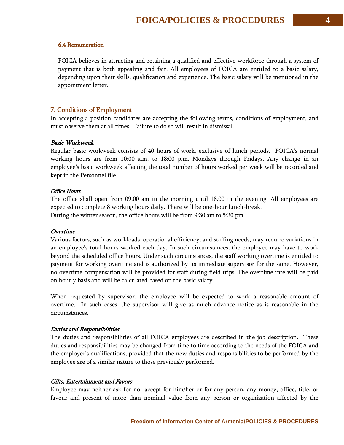## 6.4 Remuneration

FOICA believes in attracting and retaining a qualified and effective workforce through a system of payment that is both appealing and fair. All employees of FOICA are entitled to a basic salary, depending upon their skills, qualification and experience. The basic salary will be mentioned in the appointment letter.

## 7. Conditions of Employment

In accepting a position candidates are accepting the following terms, conditions of employment, and must observe them at all times. Failure to do so will result in dismissal.

#### Basic Workweek

Regular basic workweek consists of 40 hours of work, exclusive of lunch periods. FOICA's normal working hours are from 10:00 a.m. to 18:00 p.m. Mondays through Fridays. Any change in an employee's basic workweek affecting the total number of hours worked per week will be recorded and kept in the Personnel file.

#### Office Hours

The office shall open from 09.00 am in the morning until 18.00 in the evening. All employees are expected to complete 8 working hours daily. There will be one-hour lunch-break. During the winter season, the office hours will be from 9:30 am to 5:30 pm.

#### **Overtime**

Various factors, such as workloads, operational efficiency, and staffing needs, may require variations in an employee's total hours worked each day. In such circumstances, the employee may have to work beyond the scheduled office hours. Under such circumstances, the staff working overtime is entitled to payment for working overtime and is authorized by its immediate supervisor for the same. However, no overtime compensation will be provided for staff during field trips. The overtime rate will be paid on hourly basis and will be calculated based on the basic salary.

When requested by supervisor, the employee will be expected to work a reasonable amount of overtime. In such cases, the supervisor will give as much advance notice as is reasonable in the circumstances.

#### Duties and Responsibilities

The duties and responsibilities of all FOICA employees are described in the job description. These duties and responsibilities may be changed from time to time according to the needs of the FOICA and the employer's qualifications, provided that the new duties and responsibilities to be performed by the employee are of a similar nature to those previously performed.

#### Gifts, Entertainment and Favors

Employee may neither ask for nor accept for him/her or for any person, any money, office, title, or favour and present of more than nominal value from any person or organization affected by the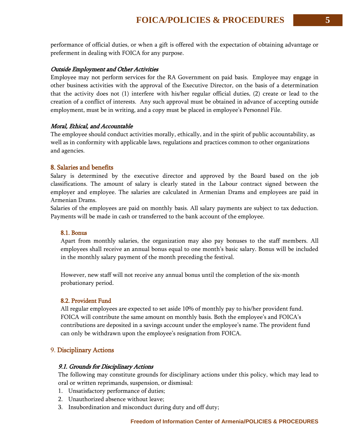performance of official duties, or when a gift is offered with the expectation of obtaining advantage or preferment in dealing with FOICA for any purpose.

#### Outside Employment and Other Activities

Employee may not perform services for the RA Government on paid basis. Employee may engage in other business activities with the approval of the Executive Director, on the basis of a determination that the activity does not (1) interfere with his/her regular official duties, (2) create or lead to the creation of a conflict of interests. Any such approval must be obtained in advance of accepting outside employment, must be in writing, and a copy must be placed in employee's Personnel File.

#### Moral, Ethical, and Accountable

The employee should conduct activities morally, ethically, and in the spirit of public accountability, as well as in conformity with applicable laws, regulations and practices common to other organizations and agencies.

#### 8. Salaries and benefits

Salary is determined by the executive director and approved by the Board based on the job classifications. The amount of salary is clearly stated in the Labour contract signed between the employer and employee. The salaries are calculated in Armenian Drams and employees are paid in Armenian Drams.

Salaries of the employees are paid on monthly basis. All salary payments are subject to tax deduction. Payments will be made in cash or transferred to the bank account of the employee.

#### 8.1. Bonus

Apart from monthly salaries, the organization may also pay bonuses to the staff members. All employees shall receive an annual bonus equal to one month's basic salary. Bonus will be included in the monthly salary payment of the month preceding the festival.

However, new staff will not receive any annual bonus until the completion of the six-month probationary period.

#### 8.2. Provident Fund

All regular employees are expected to set aside 10% of monthly pay to his/her provident fund. FOICA will contribute the same amount on monthly basis. Both the employee's and FOICA's contributions are deposited in a savings account under the employee's name. The provident fund can only be withdrawn upon the employee's resignation from FOICA.

#### 9. Disciplinary Actions

#### 9.1. Grounds for Disciplinary Actions

The following may constitute grounds for disciplinary actions under this policy, which may lead to oral or written reprimands, suspension, or dismissal:

- 1. Unsatisfactory performance of duties;
- 2. Unauthorized absence without leave;
- 3. Insubordination and misconduct during duty and off duty;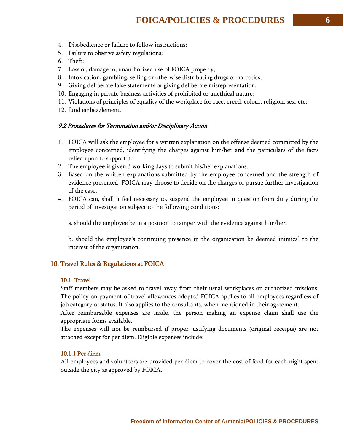- 4. Disobedience or failure to follow instructions;
- 5. Failure to observe safety regulations;
- 6. Theft;
- 7. Loss of, damage to, unauthorized use of FOICA property;
- 8. Intoxication, gambling, selling or otherwise distributing drugs or narcotics;
- 9. Giving deliberate false statements or giving deliberate misrepresentation;
- 10. Engaging in private business activities of prohibited or unethical nature;
- 11. Violations of principles of equality of the workplace for race, creed, colour, religion, sex, etc;
- 12. fund embezzlement.

#### 9.2 Procedures for Termination and/or Disciplinary Action

- 1. FOICA will ask the employee for a written explanation on the offense deemed committed by the employee concerned, identifying the charges against him/her and the particulars of the facts relied upon to support it.
- 2. The employee is given 3 working days to submit his/her explanations.
- 3. Based on the written explanations submitted by the employee concerned and the strength of evidence presented, FOICA may choose to decide on the charges or pursue further investigation of the case.
- 4. FOICA can, shall it feel necessary to, suspend the employee in question from duty during the period of investigation subject to the following conditions:

a. should the employee be in a position to tamper with the evidence against him/her.

b. should the employee's continuing presence in the organization be deemed inimical to the interest of the organization.

### 10. Travel Rules & Regulations at FOICA

#### 10.1. Travel

Staff members may be asked to travel away from their usual workplaces on authorized missions. The policy on payment of travel allowances adopted FOICA applies to all employees regardless of

job category or status. It also applies to the consultants, when mentioned in their agreement.

After reimbursable expenses are made, the person making an expense claim shall use the appropriate forms available.

The expenses will not be reimbursed if proper justifying documents (original receipts) are not attached except for per diem. Eligible expenses include:

#### 10.1.1 Per diem

All employees and [volunteers](http://www.fundsforngos.org/free-resources-for-ngos/a-free-guide-on-how-ngos-can-make-the-best-use-of-volunteers/) are provided per diem to cover the cost of food for each night spent outside the city as approved by FOICA.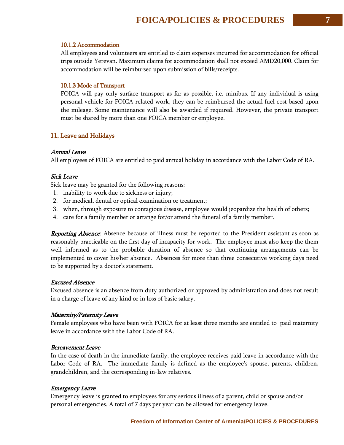## 10.1.2 Accommodation

All employees and volunteers are entitled to claim expenses incurred for accommodation for official trips outside Yerevan. Maximum claims for accommodation shall not exceed AMD20,000. Claim for accommodation will be reimbursed upon submission of bills/receipts.

## 10.1.3 Mode of Transport

FOICA will pay only surface transport as far as possible, i.e. minibus. If any individual is using personal vehicle for FOICA related work, they can be reimbursed the actual fuel cost based upon the mileage. Some maintenance will also be awarded if required. However, the private transport must be shared by more than one FOICA member or employee.

## 11. Leave and Holidays

## Annual Leave

All employees of FOICA are entitled to paid annual holiday in accordance with the Labor Code of RA.

## Sick Leave

Sick leave may be granted for the following reasons:

- 1. inability to work due to sickness or injury;
- 2. for medical, dental or optical examination or treatment;
- 3. when, through exposure to contagious disease, employee would jeopardize the health of others;
- 4. care for a family member or arrange for/or attend the funeral of a family member.

**Reporting Absence**: Absence because of illness must be reported to the President assistant as soon as reasonably practicable on the first day of incapacity for work. The employee must also keep the them well informed as to the probable duration of absence so that continuing arrangements can be implemented to cover his/her absence. Absences for more than three consecutive working days need to be supported by a doctor's statement.

#### Excused Absence

Excused absence is an absence from duty authorized or approved by administration and does not result in a charge of leave of any kind or in loss of basic salary.

## Maternity/Paternity Leave

Female employees who have been with FOICA for at least three months are entitled to paid maternity leave in accordance with the Labor Code of RA.

#### Bereavement Leave

In the case of death in the immediate family, the employee receives paid leave in accordance with the Labor Code of RA. The immediate family is defined as the employee's spouse, parents, children, grandchildren, and the corresponding in-law relatives.

#### Emergency Leave

Emergency leave is granted to employees for any serious illness of a parent, child or spouse and/or personal emergencies. A total of 7 days per year can be allowed for emergency leave.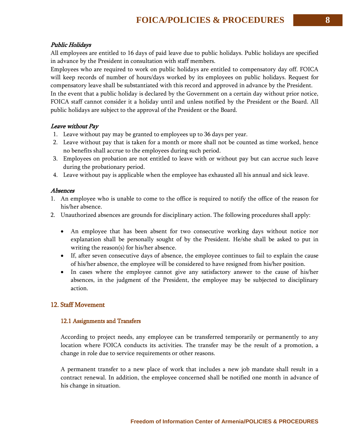## Public Holidays

All employees are entitled to 16 days of paid leave due to public holidays. Public holidays are specified in advance by the President in consultation with staff members.

Employees who are required to work on public holidays are entitled to compensatory day off. FOICA will keep records of number of hours/days worked by its employees on public holidays. Request for compensatory leave shall be substantiated with this record and approved in advance by the President. In the event that a public holiday is declared by the Government on a certain day without prior notice, FOICA staff cannot consider it a holiday until and unless notified by the President or the Board. All public holidays are subject to the approval of the President or the Board.

## Leave without Pay

- 1. Leave without pay may be granted to employees up to 36 days per year.
- 2. Leave without pay that is taken for a month or more shall not be counted as time worked, hence no benefits shall accrue to the employees during such period.
- 3. Employees on probation are not entitled to leave with or without pay but can accrue such leave during the probationary period.
- 4. Leave without pay is applicable when the employee has exhausted all his annual and sick leave.

## Absences

- 1. An employee who is unable to come to the office is required to notify the office of the reason for his/her absence.
- 2. Unauthorized absences are grounds for disciplinary action. The following procedures shall apply:
	- An employee that has been absent for two consecutive working days without notice nor explanation shall be personally sought of by the President. He/she shall be asked to put in writing the reason(s) for his/her absence.
	- If, after seven consecutive days of absence, the employee continues to fail to explain the cause of his/her absence, the employee will be considered to have resigned from his/her position.
	- In cases where the employee cannot give any satisfactory answer to the cause of his/her absences, in the judgment of the President, the employee may be subjected to disciplinary action.

## 12. Staff Movement

## 12.1 Assignments and Transfers

According to project needs, any employee can be transferred temporarily or permanently to any location where FOICA conducts its activities. The transfer may be the result of a promotion, a change in role due to service requirements or other reasons.

A permanent transfer to a new place of work that includes a new job mandate shall result in a contract renewal. In addition, the employee concerned shall be notified one month in advance of his change in situation.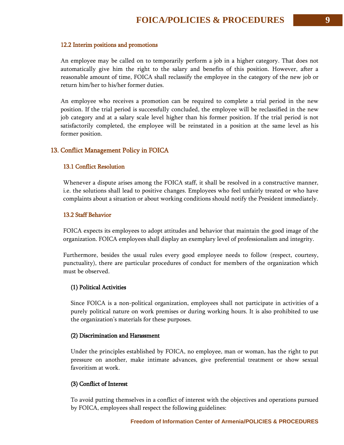#### 12.2 Interim positions and promotions

An employee may be called on to temporarily perform a job in a higher category. That does not automatically give him the right to the salary and benefits of this position. However, after a reasonable amount of time, FOICA shall reclassify the employee in the category of the new job or return him/her to his/her former duties.

An employee who receives a promotion can be required to complete a trial period in the new position. If the trial period is successfully concluded, the employee will be reclassified in the new job category and at a salary scale level higher than his former position. If the trial period is not satisfactorily completed, the employee will be reinstated in a position at the same level as his former position.

#### 13. Conflict Management Policy in FOICA

#### 13.1 Conflict Resolution

Whenever a dispute arises among the FOICA staff, it shall be resolved in a constructive manner, i.e. the solutions shall lead to positive changes. Employees who feel unfairly treated or who have complaints about a situation or about working conditions should notify the President immediately.

#### 13.2 Staff Behavior

FOICA expects its employees to adopt attitudes and behavior that maintain the good image of the organization. FOICA employees shall display an exemplary level of professionalism and integrity.

Furthermore, besides the usual rules every good employee needs to follow (respect, courtesy, punctuality), there are particular procedures of conduct for members of the organization which must be observed.

#### (1) Political Activities

Since FOICA is a non-political organization, employees shall not participate in activities of a purely political nature on work premises or during working hours. It is also prohibited to use the organization's materials for these purposes.

#### (2) Discrimination and Harassment

Under the principles established by FOICA, no employee, man or woman, has the right to put pressure on another, make intimate advances, give preferential treatment or show sexual favoritism at work.

#### (3) Conflict of Interest

To avoid putting themselves in a [conflict](http://www.fundsforngos.org/tag/conflict) of interest with the objectives and operations pursued by FOICA, employees shall respect the following guidelines: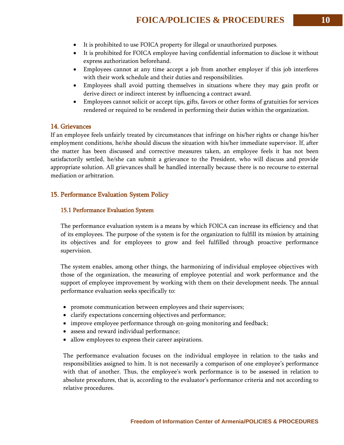- It is prohibited to use FOICA property for illegal or unauthorized purposes.
- It is prohibited for FOICA employee having confidential information to disclose it without express authorization beforehand.
- Employees cannot at any time accept a job from another employer if this job interferes with their work schedule and their duties and responsibilities.
- Employees shall avoid putting themselves in situations where they may gain profit or derive direct or indirect interest by influencing a contract [award.](http://www.fundsforngos.org/tag/award)
- Employees cannot solicit or accept tips, gifts, favors or other forms of gratuities for services rendered or required to be rendered in performing their duties within the organization.

## 14. Grievances

If an employee feels unfairly treated by circumstances that infringe on his/her rights or change his/her employment conditions, he/she should discuss the situation with his/her immediate supervisor. If, after the matter has been discussed and corrective measures taken, an employee feels it has not been satisfactorily settled, he/she can submit a grievance to the President, who will discuss and provide appropriate solution. All grievances shall be handled internally because there is no recourse to external mediation or arbitration.

#### 15. Performance Evaluation System Policy

#### 15.1 Performance Evaluation System

The performance evaluation system is a means by which FOICA can increase its efficiency and that of its employees. The purpose of the system is for the organization to fulfill its mission by attaining its objectives and for employees to grow and feel fulfilled through proactive performance supervision.

The system enables, among other things, the harmonizing of individual employee objectives with those of the organization, the measuring of employee potential and work performance and the support of employee improvement by working with them on their [development](http://www.fundsforngos.org/development-dictionary/sustainable-development/) needs. The annual performance evaluation seeks specifically to:

- promote communication between employees and their supervisors;
- clarify expectations concerning objectives and performance;
- improve employee performance through on-going monitoring and feedback;
- assess and reward individual performance;
- allow employees to express their career aspirations.

The performance evaluation focuses on the individual employee in relation to the tasks and responsibilities assigned to him. It is not necessarily a comparison of one employee's performance with that of another. Thus, the employee's work performance is to be assessed in relation to absolute procedures, that is, according to the evaluator's performance criteria and not according to relative procedures.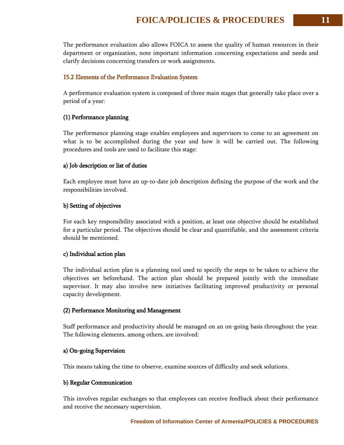The performance evaluation also allows FOICA to assess the quality of human resources in their department or organization, note important information concerning expectations and needs and clarify decisions concerning transfers or work assignments.

#### 15.2 Elements of the Performance Evaluation System

A performance evaluation system is composed of three main stages that generally take place over a period of a year:

#### (1) Performance planning

The performance planning stage enables employees and supervisors to come to an agreement on what is to be accomplished during the year and how it will be carried out. The following procedures and tools are used to facilitate this stage:

#### a) Job description or list of duties

Each employee must have an up-to-date job description defining the purpose of the work and the responsibilities involved.

#### b) Setting of objectives

For each key responsibility associated with a position, at least one objective should be established for a particular period. The objectives should be clear and quantifiable, and the assessment criteria should be mentioned.

#### c) Individual action plan

The individual action plan is a planning tool used to specify the steps to be taken to achieve the objectives set beforehand. The action plan should be prepared jointly with the immediate supervisor. It may also involve new initiatives facilitating improved productivity or personal capacity [development.](http://www.fundsforngos.org/development-dictionary/sustainable-development/)

#### (2) Performance Monitoring and Management

Staff performance and productivity should be managed on an on-going basis throughout the year. The following elements, among others, are involved:

#### a) On-going Supervision

This means taking the time to observe, examine sources of difficulty and seek solutions.

#### b) Regular Communication

This involves regular exchanges so that employees can receive feedback about their performance and receive the necessary supervision.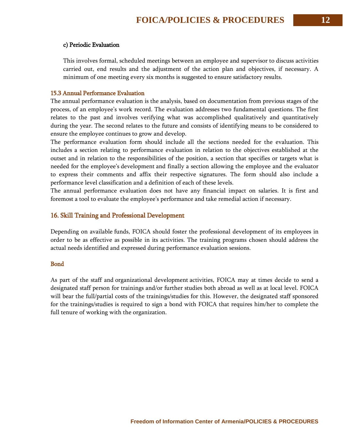#### c) Periodic Evaluation

This involves formal, scheduled meetings between an employee and supervisor to discuss activities carried out, end results and the adjustment of the action plan and objectives, if necessary. A minimum of one meeting every six months is suggested to ensure satisfactory results.

#### 15.3 Annual Performance Evaluation

The annual performance evaluation is the analysis, based on documentation from previous stages of the process, of an employee's work record. The evaluation addresses two fundamental questions. The first relates to the past and involves verifying what was accomplished qualitatively and quantitatively during the year. The second relates to the future and consists of identifying means to be considered to ensure the employee continues to grow and develop.

The performance evaluation form should include all the sections needed for the evaluation. This includes a section relating to performance evaluation in relation to the objectives established at the outset and in relation to the responsibilities of the position, a section that specifies or targets what is needed for the employee's [development](http://www.fundsforngos.org/development-dictionary/sustainable-development/) and finally a section allowing the employee and the evaluator to express their comments and affix their respective signatures. The form should also include a performance level classification and a definition of each of these levels.

The annual performance evaluation does not have any financial impact on salaries. It is first and foremost a tool to evaluate the employee's performance and take remedial action if necessary.

#### 16. Skill Training and Professional Development

Depending on available [funds,](http://www.fundsforngos.org/tag/funding) FOICA should foster the professional development of its employees in order to be as effective as possible in its activities. The training programs chosen should address the actual needs identified and expressed during performance evaluation sessions.

#### **Bond**

As part of the staff and [organizational development](http://www.fundsforngos.org/ngo-operational-policies/ngo-operational-policies-personnel-communications-procurement-and-finance-policies/) activities, FOICA may at times decide to send a designated staff person for trainings and/or further studies both abroad as well as at local level. FOICA will bear the full/partial costs of the trainings/studies for this. However, the designated staff sponsored for the trainings/studies is required to sign a bond with FOICA that requires him/her to complete the full tenure of working with the organization.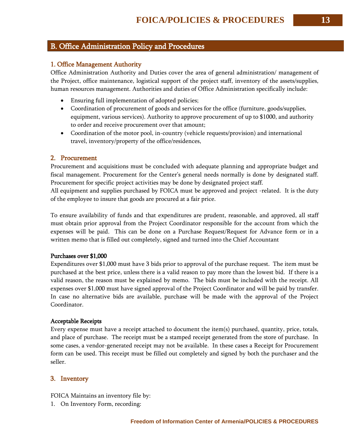## B. Office Administration Policy and Procedures

## 1. Office Management Authority

Office Administration Authority and Duties cover the area of general administration/ management of the Project, office maintenance, logistical support of the project staff, inventory of the assets/supplies, human resources management. Authorities and duties of Office Administration specifically include:

- Ensuring full implementation of adopted policies;
- Coordination of procurement of goods and services for the office (furniture, goods/supplies, equipment, various services). Authority to approve procurement of up to \$1000, and authority to order and receive procurement over that amount;
- Coordination of the motor pool, in-country (vehicle requests/provision) and international travel, inventory/property of the office/residences,

## 2. Procurement

Procurement and acquisitions must be concluded with adequate planning and appropriate budget and fiscal management. Procurement for the Center's general needs normally is done by designated staff. Procurement for specific project activities may be done by designated project staff.

All equipment and supplies purchased by FOICA must be approved and project -related. It is the duty of the employee to insure that goods are procured at a fair price.

To ensure availability of funds and that expenditures are prudent, reasonable, and approved, all staff must obtain prior approval from the Project Coordinator responsible for the account from which the expenses will be paid. This can be done on a Purchase Request/Request for Advance form or in a written memo that is filled out completely, signed and turned into the Chief Accountant

#### Purchases over \$1,000

Expenditures over \$1,000 must have 3 bids prior to approval of the purchase request. The item must be purchased at the best price, unless there is a valid reason to pay more than the lowest bid. If there is a valid reason, the reason must be explained by memo. The bids must be included with the receipt. All expenses over \$1,000 must have signed approval of the Project Coordinator and will be paid by transfer. In case no alternative bids are available, purchase will be made with the approval of the Project Coordinator.

#### Acceptable Receipts

Every expense must have a receipt attached to document the item(s) purchased, quantity, price, totals, and place of purchase. The receipt must be a stamped receipt generated from the store of purchase. In some cases, a vendor-generated receipt may not be available. In these cases a Receipt for Procurement form can be used. This receipt must be filled out completely and signed by both the purchaser and the seller.

#### 3. Inventory

FOICA Maintains an inventory file by:

1. On Inventory Form, recording: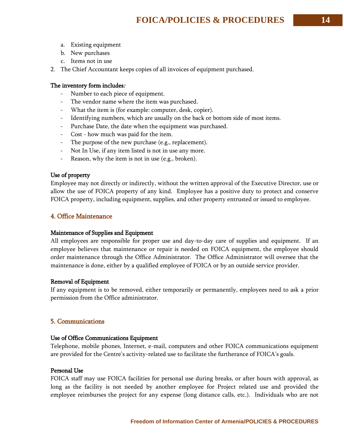- a. Existing equipment
- b. New purchases
- c. Items not in use
- 2. The Chief Accountant keeps copies of all invoices of equipment purchased.

## The inventory form includes:

- Number to each piece of equipment.
- The vendor name where the item was purchased.
- What the item is (for example: computer, desk, copier).
- Identifying numbers, which are usually on the back or bottom side of most items.
- Purchase Date, the date when the equipment was purchased.
- Cost how much was paid for the item.
- The purpose of the new purchase (e.g., replacement).
- Not In Use, if any item listed is not in use any more.
- Reason, why the item is not in use (e.g., broken).

## Use of property

Employee may not directly or indirectly, without the written approval of the Executive Director, use or allow the use of FOICA property of any kind. Employee has a positive duty to protect and conserve FOICA property, including equipment, supplies, and other property entrusted or issued to employee.

## 4. Office Maintenance

#### Maintenance of Supplies and Equipment

All employees are responsible for proper use and day-to-day care of supplies and equipment. If an employee believes that maintenance or repair is needed on FOICA equipment, the employee should order maintenance through the Office Administrator. The Office Administrator will oversee that the maintenance is done, either by a qualified employee of FOICA or by an outside service provider.

#### Removal of Equipment

If any equipment is to be removed, either temporarily or permanently, employees need to ask a prior permission from the Office administrator.

## 5. Communications

#### Use of Office Communications Equipment

Telephone, mobile phones, Internet, e-mail, computers and other FOICA communications equipment are provided for the Centre's activity-related use to facilitate the furtherance of FOICA's goals.

#### Personal Use

FOICA staff may use FOICA facilities for personal use during breaks, or after hours with approval, as long as the facility is not needed by another employee for Project related use and provided the employee reimburses the project for any expense (long distance calls, etc.). Individuals who are not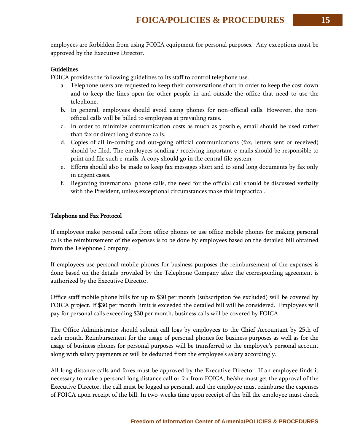employees are forbidden from using FOICA equipment for personal purposes. Any exceptions must be approved by the Executive Director.

### Guidelines

FOICA provides the following guidelines to its staff to control telephone use.

- a. Telephone users are requested to keep their conversations short in order to keep the cost down and to keep the lines open for other people in and outside the office that need to use the telephone.
- b. In general, employees should avoid using phones for non-official calls. However, the nonofficial calls will be billed to employees at prevailing rates.
- c. In order to minimize communication costs as much as possible, email should be used rather than fax or direct long distance calls.
- d. Copies of all in-coming and out-going official communications (fax, letters sent or received) should be filed. The employees sending / receiving important e-mails should be responsible to print and file such e-mails. A copy should go in the central file system.
- e. Efforts should also be made to keep fax messages short and to send long documents by fax only in urgent cases.
- f. Regarding international phone calls, the need for the official call should be discussed verbally with the President, unless exceptional circumstances make this impractical.

## Telephone and Fax Protocol

If employees make personal calls from office phones or use office mobile phones for making personal calls the reimbursement of the expenses is to be done by employees based on the detailed bill obtained from the Telephone Company.

If employees use personal mobile phones for business purposes the reimbursement of the expenses is done based on the details provided by the Telephone Company after the corresponding agreement is authorized by the Executive Director.

Office staff mobile phone bills for up to \$30 per month (subscription fee excluded) will be covered by FOICA project. If \$30 per month limit is exceeded the detailed bill will be considered. Employees will pay for personal calls exceeding \$30 per month, business calls will be covered by FOICA.

The Office Administrator should submit call logs by employees to the Chief Accountant by 25th of each month. Reimbursement for the usage of personal phones for business purposes as well as for the usage of business phones for personal purposes will be transferred to the employee's personal account along with salary payments or will be deducted from the employee's salary accordingly.

All long distance calls and faxes must be approved by the Executive Director. If an employee finds it necessary to make a personal long distance call or fax from FOICA, he/she must get the approval of the Executive Director, the call must be logged as personal, and the employee must reimburse the expenses of FOICA upon receipt of the bill. In two-weeks time upon receipt of the bill the employee must check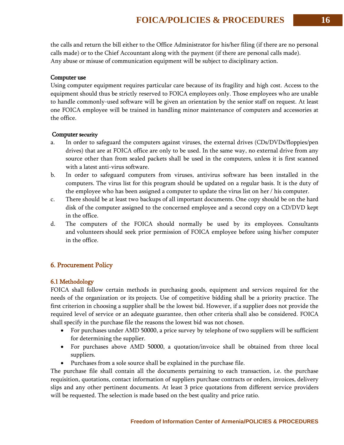the calls and return the bill either to the Office Administrator for his/her filing (if there are no personal calls made) or to the Chief Accountant along with the payment (if there are personal calls made). Any abuse or misuse of communication equipment will be subject to disciplinary action.

## Computer use

Using computer equipment requires particular care because of its fragility and high cost. Access to the equipment should thus be strictly reserved to FOICA employees only. Those employees who are unable to handle commonly-used software will be given an orientation by the senior staff on request. At least one FOICA employee will be trained in handling minor maintenance of computers and accessories at the office.

## Computer security

- a. In order to safeguard the computers against viruses, the external drives (CDs/DVDs/floppies/pen drives) that are at FOICA office are only to be used. In the same way, no external drive from any source other than from sealed packets shall be used in the computers, unless it is first scanned with a latest anti-virus software.
- b. In order to safeguard computers from viruses, antivirus software has been installed in the computers. The virus list for this program should be updated on a regular basis. It is the duty of the employee who has been assigned a computer to update the virus list on her / his computer.
- c. There should be at least two backups of all important documents. One copy should be on the hard disk of the computer assigned to the concerned employee and a second copy on a CD/DVD kept in the office.
- d. The computers of the FOICA should normally be used by its employees. Consultants and [volunteers](http://www.fundsforngos.org/free-resources-for-ngos/a-free-guide-on-how-ngos-can-make-the-best-use-of-volunteers/) should seek prior permission of FOICA employee before using his/her computer in the office.

## 6. Procurement Policy

## 6.1 Methodology

FOICA shall follow certain methods in purchasing goods, equipment and services required for the needs of the organization or its [projects.](http://www.fundsforngos.org/tag/projects) Use of competitive bidding shall be a priority practice. The first criterion in choosing a supplier shall be the lowest bid. However, if a supplier does not provide the required level of service or an adequate guarantee, then other criteria shall also be considered. FOICA shall specify in the purchase file the reasons the lowest bid was not chosen.

- For purchases under AMD 50000, a price survey by telephone of two suppliers will be sufficient for determining the supplier.
- For purchases above AMD 50000, a quotation/invoice shall be obtained from three local suppliers.
- Purchases from a sole source shall be explained in the purchase file.

The purchase file shall contain all the documents pertaining to each transaction, i.e. the purchase requisition, quotations, contact information of suppliers purchase contracts or orders, invoices, delivery slips and any other pertinent documents. At least 3 price quotations from different service providers will be requested. The selection is made based on the best quality and price ratio.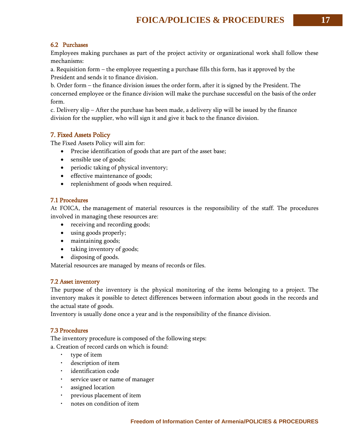## 6.2 Purchases

Employees making purchases as part of the project activity or organizational work shall follow these mechanisms:

a. Requisition form – the employee requesting a purchase fills this form, has it approved by the President and sends it to finance division.

b. Order form – the finance division issues the order form, after it is signed by the President. The concerned employee or the finance division will make the purchase successful on the basis of the order form.

c. Delivery slip – After the purchase has been made, a delivery slip will be issued by the finance division for the supplier, who will sign it and give it back to the finance division.

## 7. Fixed Assets Policy

The Fixed Assets Policy will aim for:

- Precise identification of goods that are part of the asset base;
- sensible use of goods;
- periodic taking of physical inventory;
- effective maintenance of goods;
- replenishment of goods when required.

## 7.1 Procedures

At FOICA, the [management](http://www.fundsforngos.org/tag/management) of material resources is the responsibility of the staff. The procedures involved in managing these resources are:

- receiving and recording goods;
- using goods properly;
- maintaining goods;
- taking inventory of goods;
- disposing of goods.

Material resources are managed by means of records or files.

## 7.2 Asset inventory

The purpose of the inventory is the physical monitoring of the items belonging to a project. The inventory makes it possible to detect differences between information about goods in the records and the actual state of goods.

Inventory is usually done once a year and is the responsibility of the finance division.

## 7.3 Procedures

The inventory procedure is composed of the following steps:

a. Creation of record cards on which is found:

- type of item
- description of item
- identification code
- service user or name of manager
- assigned location
- previous placement of item
- notes on condition of item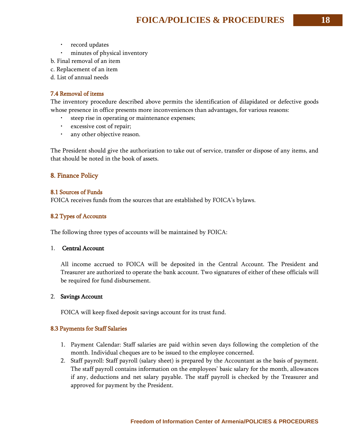- record updates
- minutes of physical inventory
- b. Final removal of an item
- c. Replacement of an item
- d. List of annual needs

## 7.4 Removal of items

The inventory procedure described above permits the identification of dilapidated or defective goods whose presence in office presents more inconveniences than advantages, for various reasons:

- steep rise in operating or maintenance expenses;
- excessive cost of repair;
- any other objective reason.

The President should give the authorization to take out of service, transfer or dispose of any items, and that should be noted in the book of assets.

## 8. Finance Policy

## 8.1 Sources of Funds

FOICA receives funds from the sources that are established by FOICA's bylaws.

## 8.2 Types of Accounts

The following three types of accounts will be maintained by FOICA:

## 1. Central Account

All income accrued to FOICA will be deposited in the Central Account. The President and Treasurer are authorized to operate the bank account. Two signatures of either of these officials will be required for fund disbursement.

## 2. Savings Account

FOICA will keep fixed deposit savings account for its trust fund.

## 8.3 Payments for Staff Salaries

- 1. Payment Calendar: Staff salaries are paid within seven days following the completion of the month. Individual cheques are to be issued to the employee concerned.
- 2. Staff payroll: Staff payroll (salary sheet) is prepared by the Accountant as the basis of payment. The staff payroll contains information on the employees' basic salary for the month, allowances if any, deductions and net salary payable. The staff payroll is checked by the Treasurer and approved for payment by the President.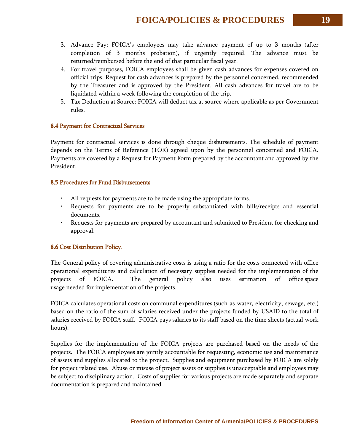- 3. Advance Pay: FOICA's employees may take advance payment of up to 3 months (after completion of 3 months probation), if urgently required. The advance must be returned/reimbursed before the end of that particular fiscal year.
- 4. For travel purposes, FOICA employees shall be given cash advances for expenses covered on official trips. Request for cash advances is prepared by the personnel concerned, recommended by the Treasurer and is approved by the President. All cash advances for travel are to be liquidated within a week following the completion of the trip.
- 5. Tax Deduction at Source: FOICA will deduct tax at source where applicable as per Government rules.

## 8.4 Payment for Contractual Services

Payment for contractual services is done through cheque disbursements. The schedule of payment depends on the Terms of Reference (TOR) agreed upon by the personnel concerned and FOICA. Payments are covered by a Request for Payment Form prepared by the accountant and approved by the President.

#### 8.5 Procedures for Fund Disbursements

- All requests for payments are to be made using the appropriate forms.
- Requests for payments are to be properly substantiated with bills/receipts and essential documents.
- Requests for payments are prepared by accountant and submitted to President for checking and approval.

## 8.6 Cost Distribution Policy.

The General policy of covering administrative costs is using a ratio for the costs connected with office operational expenditures and calculation of necessary supplies needed for the implementation of the projects of FOICA. The general policy also uses estimation of office space usage needed for implementation of the projects.

FOICA calculates operational costs on communal expenditures (such as water, electricity, sewage, etc.) based on the ratio of the sum of salaries received under the projects funded by USAID to the total of salaries received by FOICA staff. FOICA pays salaries to its staff based on the time sheets (actual work hours).

Supplies for the implementation of the FOICA projects are purchased based on the needs of the projects. The FOICA employees are jointly accountable for requesting, economic use and maintenance of assets and supplies allocated to the project. Supplies and equipment purchased by FOICA are solely for project related use. Abuse or misuse of project assets or supplies is unacceptable and employees may be subject to disciplinary action. Costs of supplies for various projects are made separately and separate documentation is prepared and maintained.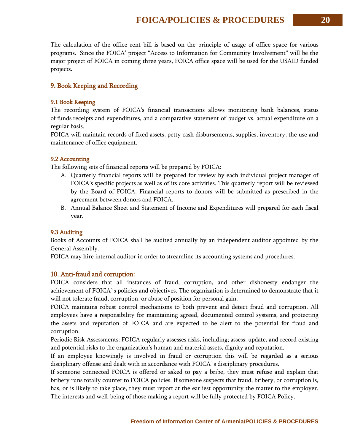The calculation of the office rent bill is based on the principle of usage of office space for various programs. Since the FOICA' project "Access to Information for Community Involvement" will be the major project of FOICA in coming three years, FOICA office space will be used for the USAID funded projects.

## 9. Book Keeping and Recording

## 9.1 Book Keeping

The recording system of FOICA's financial transactions allows monitoring bank balances, status of [funds](http://www.fundsforngos.org/tag/funding) receipts and expenditures, and a comparative statement of budget vs. actual expenditure on a regular basis.

FOICA will maintain records of fixed assets, petty cash disbursements, supplies, inventory, the use and maintenance of office equipment.

## 9.2 Accounting

The following sets of financial reports will be prepared by FOICA:

- A. Quarterly financial reports will be prepared for review by each individual project manager of FOICA's specific [projects](http://www.fundsforngos.org/tag/projects) as well as of its core activities. This quarterly report will be reviewed by the Board of FOICA. Financial reports to donors will be submitted as prescribed in the agreement between donors and FOICA.
- B. Annual Balance Sheet and Statement of Income and Expenditures will prepared for each fiscal year.

## 9.3 Auditing

Books of Accounts of FOICA shall be audited annually by an independent auditor appointed by the General Assembly.

FOICA may hire internal auditor in order to streamline its accounting systems and procedures.

## 10. Anti-fraud and corruption:

FOICA considers that all instances of fraud, corruption, and other dishonesty endanger the achievement of FOICA`s policies and objectives. The organization is determined to demonstrate that it will not tolerate fraud, corruption, or abuse of position for personal gain.

FOICA maintains robust control mechanisms to both prevent and detect fraud and corruption. All employees have a responsibility for maintaining agreed, documented control systems, and protecting the assets and reputation of FOICA and are expected to be alert to the potential for fraud and corruption.

Periodic Risk Assessments: FOICA regularly assesses risks, including; assess, update, and record existing and potential risks to the organization's human and material assets, dignity and reputation.

If an employee knowingly is involved in fraud or corruption this will be regarded as a serious disciplinary offense and dealt with in accordance with FOICA`s disciplinary procedures.

If someone connected FOICA is offered or asked to pay a bribe, they must refuse and explain that bribery runs totally counter to FOICA policies. If someone suspects that fraud, bribery, or corruption is, has, or is likely to take place, they must report at the earliest opportunity the matter to the employer. The interests and well-being of those making a report will be fully protected by FOICA Policy.